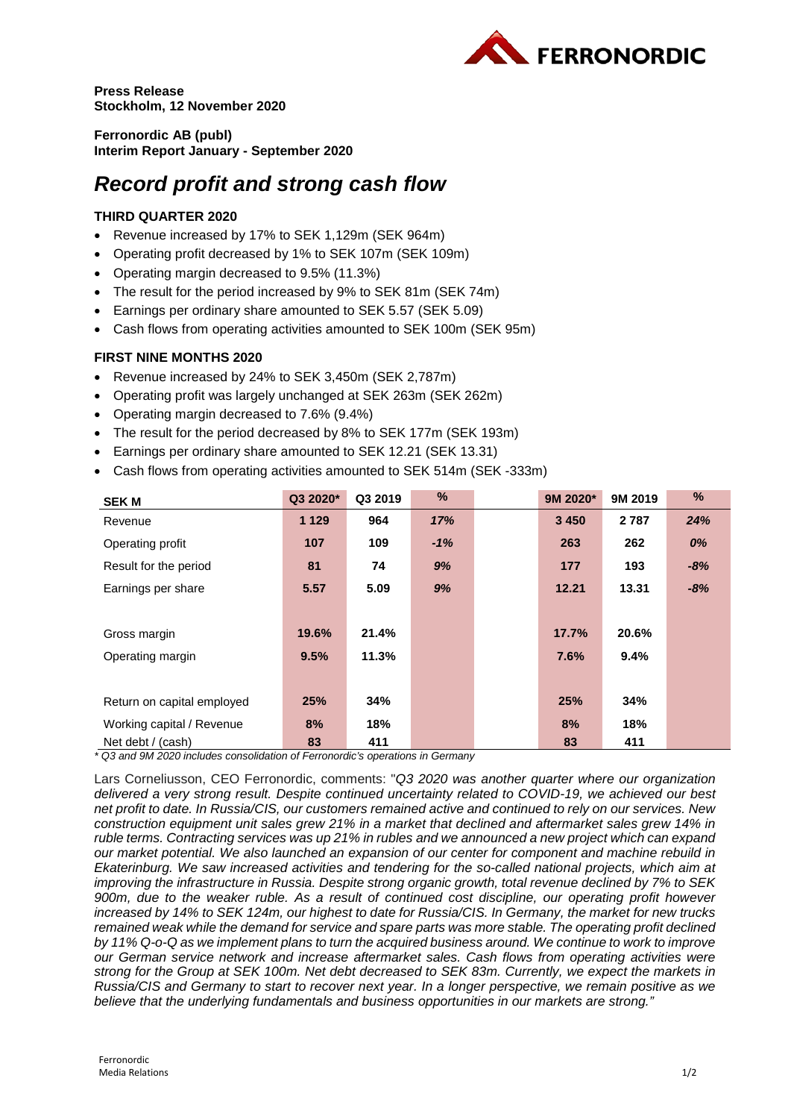

**Press Release Stockholm, 12 November 2020**

**Ferronordic AB (publ) Interim Report January - September 2020**

# *Record profit and strong cash flow*

# **THIRD QUARTER 2020**

- Revenue increased by 17% to SEK 1,129m (SEK 964m)
- Operating profit decreased by 1% to SEK 107m (SEK 109m)
- Operating margin decreased to 9.5% (11.3%)
- The result for the period increased by 9% to SEK 81m (SEK 74m)
- Earnings per ordinary share amounted to SEK 5.57 (SEK 5.09)
- Cash flows from operating activities amounted to SEK 100m (SEK 95m)

## **FIRST NINE MONTHS 2020**

- Revenue increased by 24% to SEK 3,450m (SEK 2,787m)
- Operating profit was largely unchanged at SEK 263m (SEK 262m)
- Operating margin decreased to 7.6% (9.4%)
- The result for the period decreased by 8% to SEK 177m (SEK 193m)
- Earnings per ordinary share amounted to SEK 12.21 (SEK 13.31)
- Cash flows from operating activities amounted to SEK 514m (SEK -333m)

| <b>SEK M</b>               | Q3 2020* | Q3 2019 | %     | 9M 2020* | 9M 2019 | %     |
|----------------------------|----------|---------|-------|----------|---------|-------|
| Revenue                    | 1 1 2 9  | 964     | 17%   | 3 4 5 0  | 2 7 8 7 | 24%   |
| Operating profit           | 107      | 109     | $-1%$ | 263      | 262     | 0%    |
| Result for the period      | 81       | 74      | 9%    | 177      | 193     | $-8%$ |
| Earnings per share         | 5.57     | 5.09    | 9%    | 12.21    | 13.31   | $-8%$ |
|                            |          |         |       |          |         |       |
| Gross margin               | 19.6%    | 21.4%   |       | 17.7%    | 20.6%   |       |
| Operating margin           | 9.5%     | 11.3%   |       | 7.6%     | 9.4%    |       |
|                            |          |         |       |          |         |       |
| Return on capital employed | 25%      | 34%     |       | 25%      | 34%     |       |
| Working capital / Revenue  | 8%       | 18%     |       | 8%       | 18%     |       |
| Net debt / (cash)          | 83       | 411     |       | 83       | 411     |       |

*\* Q3 and 9M 2020 includes consolidation of Ferronordic's operations in Germany*

Lars Corneliusson, CEO Ferronordic, comments: "*Q3 2020 was another quarter where our organization delivered a very strong result. Despite continued uncertainty related to COVID-19, we achieved our best net profit to date. In Russia/CIS, our customers remained active and continued to rely on our services. New construction equipment unit sales grew 21% in a market that declined and aftermarket sales grew 14% in ruble terms. Contracting services was up 21% in rubles and we announced a new project which can expand our market potential. We also launched an expansion of our center for component and machine rebuild in Ekaterinburg. We saw increased activities and tendering for the so-called national projects, which aim at improving the infrastructure in Russia. Despite strong organic growth, total revenue declined by 7% to SEK 900m, due to the weaker ruble. As a result of continued cost discipline, our operating profit however increased by 14% to SEK 124m, our highest to date for Russia/CIS. In Germany, the market for new trucks remained weak while the demand for service and spare parts was more stable. The operating profit declined by 11% Q-o-Q as we implement plans to turn the acquired business around. We continue to work to improve our German service network and increase aftermarket sales. Cash flows from operating activities were strong for the Group at SEK 100m. Net debt decreased to SEK 83m. Currently, we expect the markets in Russia/CIS and Germany to start to recover next year. In a longer perspective, we remain positive as we believe that the underlying fundamentals and business opportunities in our markets are strong."*